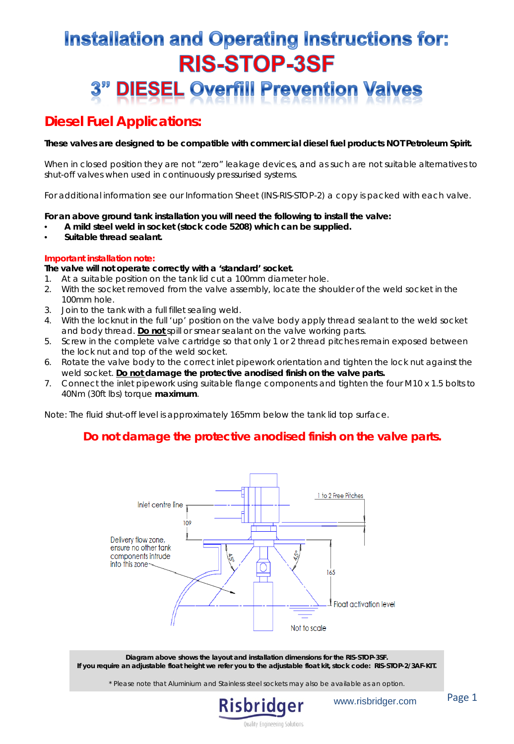# **Installation and Operating Instructions for: RIS-STOP-3SF DIESEL Overfill Prevention Valves**

## *Diesel Fuel Applications:*

**These valves are designed to be compatible with commercial diesel fuel products NOT Petroleum Spirit.**

When in closed position they are not "zero" leakage devices, and as such are not suitable alternatives to shut-off valves when used in continuously pressurised systems.

For additional information see our Information Sheet (INS-RIS-STOP-2) a copy is packed with each valve.

**For an above ground tank installation you will need the following to install the valve:**

- **A mild steel weld in socket (stock code 5208) which can be supplied.**
- **Suitable thread sealant.**

#### **Important installation note:**

**The valve will not operate correctly with a 'standard' socket.**

- 1. At a suitable position on the tank lid cut a 100mm diameter hole.
- 2. With the socket removed from the valve assembly, locate the shoulder of the weld socket in the 100mm hole.
- 3. Join to the tank with a full fillet sealing weld.
- 4. With the locknut in the full 'up' position on the valve body apply thread sealant to the weld socket and body thread. **Do not** spill or smear sealant on the valve working parts.
- 5. Screw in the complete valve cartridge so that only 1 or 2 thread pitches remain exposed between the lock nut and top of the weld socket.
- 6. Rotate the valve body to the correct inlet pipework orientation and tighten the lock nut against the weld socket. **Do not damage the protective anodised finish on the valve parts.**
- 7. Connect the inlet pipework using suitable flange components and tighten the four M10 x 1.5 bolts to 40Nm (30ft lbs) torque **maximum**.

Note: The fluid shut-off level is approximately 165mm below the tank lid top surface.

### **Do not damage the protective anodised finish on the valve parts.**



**Diagram above shows the layout and installation dimensions for the RIS-STOP-3SF. If you require an adjustable float height we refer you to the adjustable float kit, stock code: RIS-STOP-2/3AF-KIT.**

\* Please note that Aluminium and Stainless steel sockets may also be available as an option.



www.risbridger.com